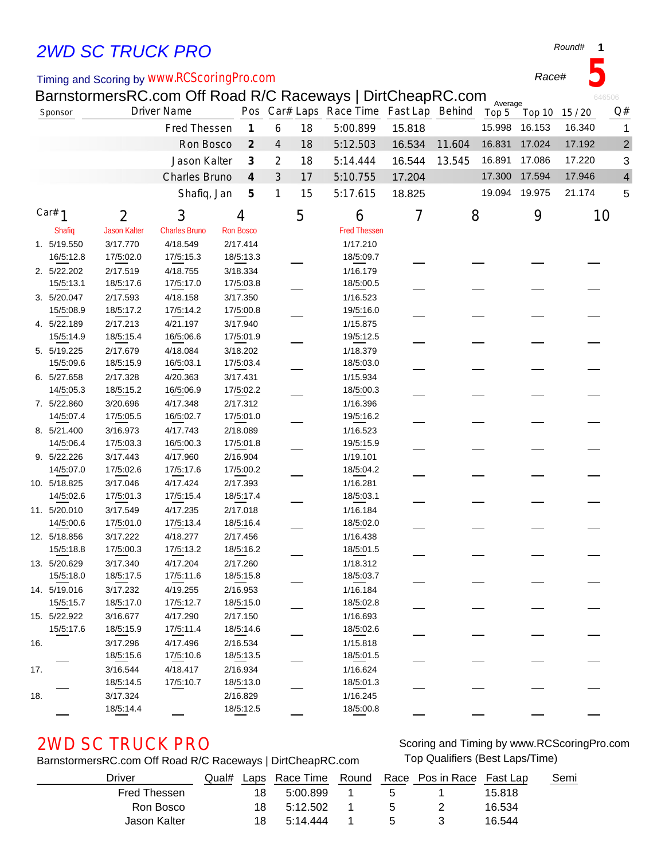# *2WD SC TRUCK PRO*

## Timing and Scoring by *www.RCScoringPro.com*

BarnstormersRC.com Off Road R/C Raceways | DirtCheapRC.com

|     |              |                     |                      |                  |                             |                |    | BarnstoffiersRC.com Oil Road R/C Raceways   DiftCheapRC.com |        |        | Average |               |                | 646506         |
|-----|--------------|---------------------|----------------------|------------------|-----------------------------|----------------|----|-------------------------------------------------------------|--------|--------|---------|---------------|----------------|----------------|
|     | Sponsor      |                     | <b>Driver Name</b>   |                  |                             |                |    | Pos Car# Laps Race Time Fast Lap Behind                     |        |        | Top 5   |               | Top 10 15 / 20 | Q#             |
|     |              |                     | Fred Thessen         |                  | $\mathcal I$                | 6              | 18 | 5:00.899                                                    | 15.818 |        | 15.998  | 16.153        | 16.340         |                |
|     |              |                     | Ron Bosco            |                  | $\mathcal{Z}_{\mathcal{C}}$ | $\overline{4}$ | 18 | 5:12.503                                                    | 16.534 | 11.604 | 16.831  | 17.024        | 17.192         | $\overline{c}$ |
|     |              |                     | Jason Kalter         |                  | $\mathcal{J}_{\mathcal{S}}$ | 2              | 18 | 5:14.444                                                    | 16.544 | 13.545 | 16.891  | 17.086        | 17.220         | 3              |
|     |              |                     | Charles Bruno        |                  | $\boldsymbol{4}$            | $\mathfrak{Z}$ | 17 | 5:10.755                                                    | 17.204 |        | 17.300  | 17.594        | 17.946         | 4              |
|     |              |                     | Shafiq, Jan          |                  | 5                           | 1              | 15 | 5:17.615                                                    | 18.825 |        |         | 19.094 19.975 | 21.174         | 5              |
|     | Car# $1$     |                     |                      |                  |                             |                |    |                                                             |        |        |         |               |                |                |
|     |              | 2                   | 3                    | 4                |                             |                | 5  | 6                                                           | 7      | 8      |         | 9             |                | 10             |
|     | Shafiq       | <b>Jason Kalter</b> | <b>Charles Bruno</b> | <b>Ron Bosco</b> |                             |                |    | <b>Fred Thessen</b>                                         |        |        |         |               |                |                |
|     | 1. 5/19.550  | 3/17.770            | 4/18.549             | 2/17.414         |                             |                |    | 1/17.210                                                    |        |        |         |               |                |                |
|     | 16/5:12.8    | 17/5:02.0           | 17/5:15.3            |                  | 18/5:13.3                   |                |    | 18/5:09.7                                                   |        |        |         |               |                |                |
|     | 2. 5/22.202  | 2/17.519            | 4/18.755             | 3/18.334         |                             |                |    | 1/16.179                                                    |        |        |         |               |                |                |
|     | 15/5:13.1    | 18/5:17.6           | 17/5:17.0            |                  | 17/5:03.8                   |                |    | 18/5:00.5                                                   |        |        |         |               |                |                |
|     | 3. 5/20.047  | 2/17.593            | 4/18.158             | 3/17.350         |                             |                |    | 1/16.523                                                    |        |        |         |               |                |                |
|     | 15/5:08.9    | 18/5:17.2           | 17/5:14.2            |                  | 17/5:00.8                   |                |    | 19/5:16.0                                                   |        |        |         |               |                |                |
|     | 4. 5/22.189  | 2/17.213            | 4/21.197             | 3/17.940         |                             |                |    | 1/15.875                                                    |        |        |         |               |                |                |
|     | 15/5:14.9    | 18/5:15.4           | 16/5:06.6            |                  | 17/5:01.9                   |                |    | 19/5:12.5                                                   |        |        |         |               |                |                |
|     | 5. 5/19.225  | 2/17.679            | 4/18.084             | 3/18.202         |                             |                |    | 1/18.379                                                    |        |        |         |               |                |                |
|     | 15/5:09.6    | 18/5:15.9           | 16/5:03.1            |                  | 17/5:03.4                   |                |    | 18/5:03.0                                                   |        |        |         |               |                |                |
|     | 6. 5/27.658  | 2/17.328            | 4/20.363             | 3/17.431         |                             |                |    | 1/15.934                                                    |        |        |         |               |                |                |
|     | 14/5:05.3    | 18/5:15.2           | 16/5:06.9            |                  | 17/5:02.2                   |                |    | 18/5:00.3                                                   |        |        |         |               |                |                |
|     | 7. 5/22.860  | 3/20.696            | 4/17.348             | 2/17.312         |                             |                |    | 1/16.396                                                    |        |        |         |               |                |                |
|     | 14/5:07.4    | 17/5:05.5           | 16/5:02.7            |                  | 17/5:01.0                   |                |    | 19/5:16.2                                                   |        |        |         |               |                |                |
|     | 8. 5/21.400  | 3/16.973            | 4/17.743             | 2/18.089         |                             |                |    | 1/16.523                                                    |        |        |         |               |                |                |
|     | 14/5:06.4    | 17/5:03.3           | 16/5:00.3            |                  | 17/5:01.8                   |                |    | 19/5:15.9                                                   |        |        |         |               |                |                |
|     | 9. 5/22.226  | 3/17.443            | 4/17.960             | 2/16.904         |                             |                |    | 1/19.101                                                    |        |        |         |               |                |                |
|     | 14/5:07.0    | 17/5:02.6           | 17/5:17.6            |                  | 17/5:00.2                   |                |    | 18/5:04.2                                                   |        |        |         |               |                |                |
|     | 10. 5/18.825 | 3/17.046            | 4/17.424             | 2/17.393         |                             |                |    | 1/16.281                                                    |        |        |         |               |                |                |
|     | 14/5:02.6    | 17/5:01.3           | 17/5:15.4            |                  | 18/5:17.4                   |                |    | 18/5:03.1                                                   |        |        |         |               |                |                |
|     | 11. 5/20.010 | 3/17.549            | 4/17.235             | 2/17.018         |                             |                |    | 1/16.184                                                    |        |        |         |               |                |                |
|     | 14/5:00.6    | 17/5:01.0           | 17/5:13.4            |                  | 18/5:16.4                   |                |    | 18/5:02.0                                                   |        |        |         |               |                |                |
|     | 12. 5/18.856 | 3/17.222            | 4/18.277             | 2/17.456         |                             |                |    | 1/16.438                                                    |        |        |         |               |                |                |
|     | 15/5:18.8    | 17/5:00.3           | 17/5:13.2            |                  | 18/5:16.2                   |                |    | 18/5:01.5                                                   |        |        |         |               |                |                |
|     | 13. 5/20.629 | 3/17.340            | 4/17.204             | 2/17.260         |                             |                |    | 1/18.312                                                    |        |        |         |               |                |                |
|     | 15/5:18.0    | 18/5:17.5           | 17/5:11.6            |                  | 18/5:15.8                   |                |    | 18/5:03.7                                                   |        |        |         |               |                |                |
|     | 14. 5/19.016 | 3/17.232            | 4/19.255             | 2/16.953         |                             |                |    | 1/16.184                                                    |        |        |         |               |                |                |
|     | 15/5:15.7    | 18/5:17.0           | 17/5:12.7            |                  | 18/5:15.0                   |                |    | 18/5:02.8                                                   |        |        |         |               |                |                |
|     | 15. 5/22.922 | 3/16.677            | 4/17.290             | 2/17.150         |                             |                |    | 1/16.693                                                    |        |        |         |               |                |                |
|     | 15/5:17.6    | 18/5:15.9           | 17/5:11.4            |                  | 18/5:14.6                   |                |    | 18/5:02.6                                                   |        |        |         |               |                |                |
| 16. |              | 3/17.296            | 4/17.496             | 2/16.534         |                             |                |    | 1/15.818                                                    |        |        |         |               |                |                |
|     |              | 18/5:15.6           | 17/5:10.6            |                  | 18/5:13.5                   |                |    | 18/5:01.5                                                   |        |        |         |               |                |                |
| 17. |              | 3/16.544            | 4/18.417             | 2/16.934         |                             |                |    | 1/16.624                                                    |        |        |         |               |                |                |
|     |              | 18/5:14.5           | 17/5:10.7            |                  | 18/5:13.0                   |                |    | 18/5:01.3                                                   |        |        |         |               |                |                |
| 18. |              | 3/17.324            |                      | 2/16.829         |                             |                |    | 1/16.245                                                    |        |        |         |               |                |                |
|     |              | 18/5:14.4           |                      |                  | 18/5:12.5                   |                |    | 18/5:00.8                                                   |        |        |         |               |                |                |
|     |              |                     |                      |                  |                             |                |    |                                                             |        |        |         |               |                |                |

BarnstormersRC.com Off Road R/C Raceways | DirtCheapRC.com Top Qualifiers (Best Laps/Time)

2WD SC TRUCK PRO **SCORE AND SCOTT AND SCOTT AND SCOTT SCOTT** Scoring and Timing by www.RCScoringPro.com

| Driver       | Qual# |     |          |              | Laps Race Time Round Race Pos in Race Fast Lap |        | Semi |
|--------------|-------|-----|----------|--------------|------------------------------------------------|--------|------|
| Fred Thessen |       | 18  | 5:00.899 | $\mathbf{h}$ |                                                | 15.818 |      |
| Ron Bosco    |       | 18. | 5:12.502 | _ 5          |                                                | 16.534 |      |
| Jason Kalter |       | 18. | 5:14:444 | -5.          |                                                | 16.544 |      |

## *Round#* **1**

*Race#* **5**